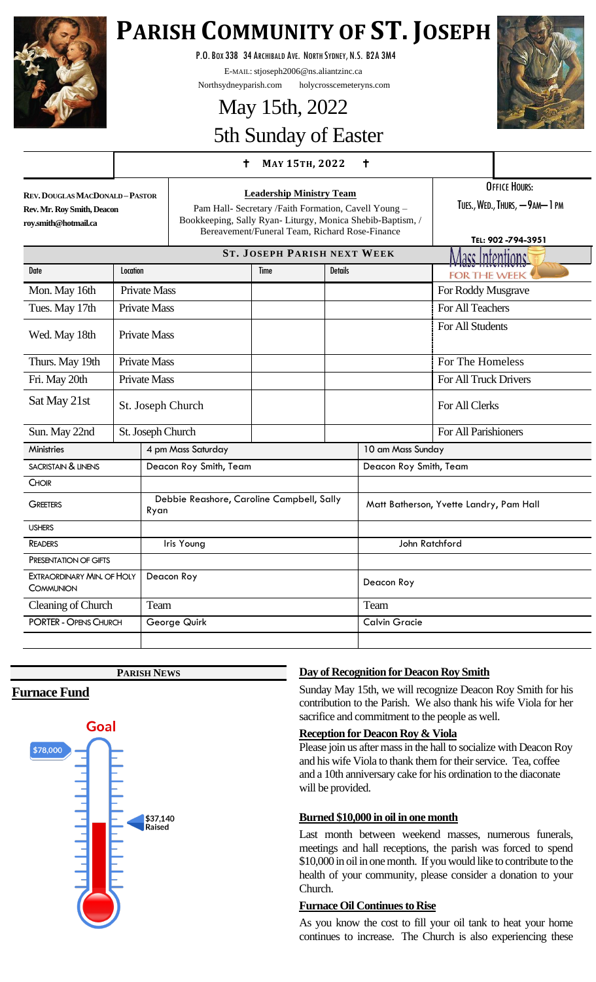

# **PARISH COMMUNITY OF ST. JOSEPH**

P.O.BOX 338 34 ARCHIBALD AVE. NORTH SYDNEY, N.S. B2A 3M4

E-MAIL: stjoseph2006@ns.aliantzinc.ca

Northsydneyparish.com holycrosscemeteryns.com

# May 15th, 2022 5th Sunday of Easter

### **<sup>M</sup>AY 15TH, <sup>2022</sup>**



**REV.DOUGLAS MACDONALD –PASTOR Rev. Mr. Roy Smith, Deacon roy.smith@hotmail.ca**

**Leadership Ministry Team** Pam Hall- Secretary /Faith Formation, Cavell Young – Bookkeeping, Sally Ryan- Liturgy, Monica Shebib-Baptism, / Bereavement/Funeral Team, Richard Rose-Finance

OFFICE HOURS:

TUES., WED., THURS, - 9AM-1 PM

|                                         |                     |                                                   |                                    |                        |                                         | TEL: 902-794-3951     |
|-----------------------------------------|---------------------|---------------------------------------------------|------------------------------------|------------------------|-----------------------------------------|-----------------------|
|                                         |                     |                                                   | <b>ST. JOSEPH PARISH NEXT WEEK</b> |                        |                                         | Macs Intentions!      |
| <b>Date</b>                             | Location            |                                                   | <b>Time</b>                        | <b>Details</b>         |                                         | <b>FOR THE WEEK</b>   |
| Mon. May 16th                           | <b>Private Mass</b> |                                                   |                                    |                        |                                         | For Roddy Musgrave    |
| Tues. May 17th                          | <b>Private Mass</b> |                                                   |                                    |                        |                                         | For All Teachers      |
| <b>Private Mass</b><br>Wed. May 18th    |                     |                                                   |                                    |                        | For All Students                        |                       |
| Thurs. May 19th                         | <b>Private Mass</b> |                                                   |                                    |                        |                                         | For The Homeless      |
| Fri. May 20th                           |                     | <b>Private Mass</b>                               |                                    |                        |                                         | For All Truck Drivers |
| Sat May 21st                            |                     | St. Joseph Church                                 |                                    |                        |                                         | For All Clerks        |
| Sun. May 22nd                           |                     | St. Joseph Church                                 |                                    |                        |                                         | For All Parishioners  |
| <b>Ministries</b>                       |                     | 4 pm Mass Saturday                                |                                    |                        | 10 am Mass Sunday                       |                       |
| <b>SACRISTAIN &amp; LINENS</b>          |                     | Deacon Roy Smith, Team                            |                                    | Deacon Roy Smith, Team |                                         |                       |
| <b>CHOIR</b>                            |                     |                                                   |                                    |                        |                                         |                       |
| <b>GREETERS</b>                         |                     | Debbie Reashore, Caroline Campbell, Sally<br>Ryan |                                    |                        | Matt Batherson, Yvette Landry, Pam Hall |                       |
| <b>USHERS</b>                           |                     |                                                   |                                    |                        |                                         |                       |
| <b>READERS</b>                          |                     | Iris Young                                        |                                    | John Ratchford         |                                         |                       |
| PRESENTATION OF GIFTS                   |                     |                                                   |                                    |                        |                                         |                       |
| EXTRAORDINARY MIN. OF HOLY<br>COMMUNION |                     | Deacon Roy                                        |                                    |                        | Deacon Roy                              |                       |
| Cleaning of Church                      |                     | Team                                              |                                    |                        | Team                                    |                       |
| <b>PORTER - OPENS CHURCH</b>            |                     | George Quirk                                      |                                    |                        | <b>Calvin Gracie</b>                    |                       |
|                                         |                     |                                                   |                                    |                        |                                         |                       |

**PARISH NEWS**

## **Furnace Fund**



## **Day of Recognition for Deacon Roy Smith**

Sunday May 15th, we will recognize Deacon Roy Smith for his contribution to the Parish. We also thank his wife Viola for her sacrifice and commitment to the people as well.

#### **Reception for Deacon Roy & Viola**

Please join us after mass in the hall to socialize with Deacon Roy and his wife Viola to thank them for their service. Tea, coffee and a 10th anniversary cake for his ordination to the diaconate will be provided.

#### **Burned \$10,000 in oil in one month**

Last month between weekend masses, numerous funerals, meetings and hall receptions, the parish was forced to spend \$10,000 in oil in one month. If you would like to contribute to the health of your community, please consider a donation to your Church.

#### **Furnace Oil Continues to Rise**

As you know the cost to fill your oil tank to heat your home continues to increase. The Church is also experiencing these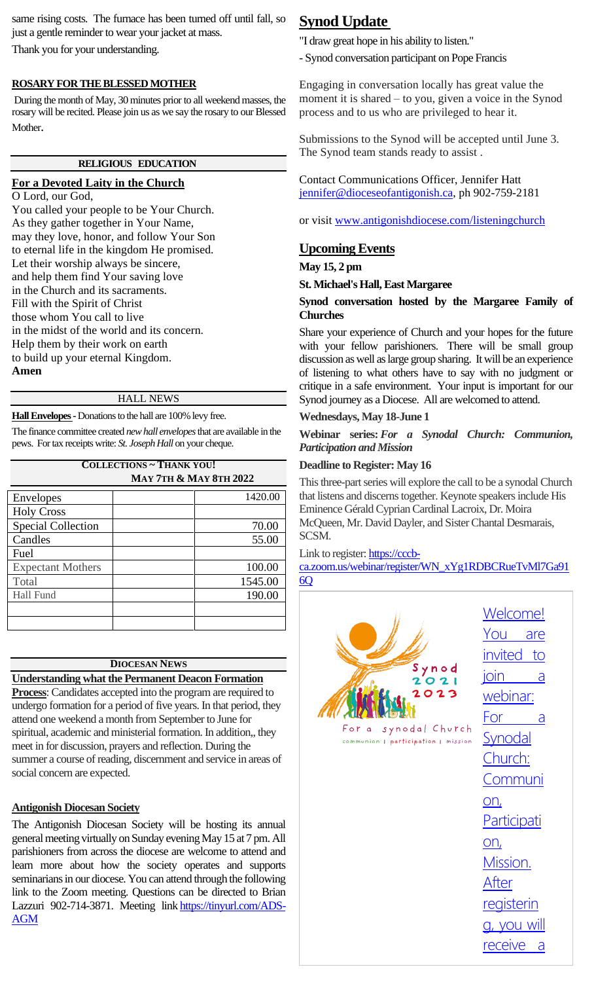same rising costs. The furnace has been turned off until fall, so just a gentle reminder to wear your jacket at mass. Thank you for your understanding.

#### **ROSARY FOR THE BLESSED MOTHER**

During the month of May, 30 minutes prior to all weekend masses, the rosary will be recited. Please join us as we say the rosary to our Blessed Mother.

#### **RELIGIOUS EDUCATION**

#### **For a Devoted Laity in the Church** O Lord, our God,

You called your people to be Your Church. As they gather together in Your Name, may they love, honor, and follow Your Son to eternal life in the kingdom He promised. Let their worship always be sincere, and help them find Your saving love in the Church and its sacraments. Fill with the Spirit of Christ those whom You call to live in the midst of the world and its concern. Help them by their work on earth to build up your eternal Kingdom. **Amen**

#### HALL NEWS

**Hall Envelopes -**Donations to the hall are 100% levy free.

The finance committee created *new hall envelopes*that are available in the pews. For tax receipts write: *St. Joseph Hall* on your cheque.

| <b>COLLECTIONS ~ THANK YOU!</b>   |         |  |  |  |  |  |  |
|-----------------------------------|---------|--|--|--|--|--|--|
| <b>MAY 7TH &amp; MAY 8TH 2022</b> |         |  |  |  |  |  |  |
| Envelopes                         | 1420.00 |  |  |  |  |  |  |
| <b>Holy Cross</b>                 |         |  |  |  |  |  |  |
| <b>Special Collection</b>         | 70.00   |  |  |  |  |  |  |
| Candles                           | 55.00   |  |  |  |  |  |  |
| Fuel                              |         |  |  |  |  |  |  |
| <b>Expectant Mothers</b>          | 100.00  |  |  |  |  |  |  |
| Total                             | 1545.00 |  |  |  |  |  |  |
| Hall Fund                         | 190.00  |  |  |  |  |  |  |
|                                   |         |  |  |  |  |  |  |
|                                   |         |  |  |  |  |  |  |

#### **DIOCESAN NEWS**

**Understanding what the Permanent Deacon Formation** 

**Process**: Candidates accepted into the program are required to undergo formation for a period of five years. In that period, they attend one weekend a month from September to June for spiritual, academic and ministerial formation. In addition,, they meet in for discussion, prayers and reflection. During the summer a course of reading, discernment and service in areas of social concern are expected.

#### **Antigonish Diocesan Society**

The Antigonish Diocesan Society will be hosting its annual general meeting virtually on Sunday evening May 15 at 7 pm. All parishioners from across the diocese are welcome to attend and learn more about how the society operates and supports seminarians in our diocese. You can attend through the following link to the Zoom meeting. Questions can be directed to Brian Lazzuri 902-714-3871. Meeting link [https://tinyurl.com/ADS-](https://tinyurl.com/ADS-AGM)[AGM](https://tinyurl.com/ADS-AGM)

## **Synod Update**

"I draw great hope in his ability to listen."

- Synod conversation participant on Pope Francis

Engaging in conversation locally has great value the moment it is shared – to you, given a voice in the Synod process and to us who are privileged to hear it.

Submissions to the Synod will be accepted until June 3. The Synod team stands ready to assist .

Contact Communications Officer, Jennifer Hatt [jennifer@dioceseofantigonish.ca,](mailto:jennifer@dioceseofantigonish.ca) ph 902-759-2181

or visit [www.antigonishdiocese.com/listeningchurch](http://www.antigonishdiocese.com/listeningchurch)

## **Upcoming Events**

**May 15, 2 pm**

**St. Michael's Hall, East Margaree**

#### **Synod conversation hosted by the Margaree Family of Churches**

Share your experience of Church and your hopes for the future with your fellow parishioners. There will be small group discussion as well as large group sharing. It will be an experience of listening to what others have to say with no judgment or critique in a safe environment. Your input is important for our Synod journey as a Diocese. All are welcomed to attend.

#### **Wednesdays, May 18-June 1**

**Webinar series:** *For a Synodal Church: Communion, Participation and Mission*

#### **Deadline to Register: May 16**

This three-part series will explore the call to be a synodal Church that listens and discerns together. Keynote speakers include His Eminence Gérald Cyprian Cardinal Lacroix, Dr. Moira McQueen, Mr. David Dayler, and Sister Chantal Desmarais, SCSM.

Link to register: [https://cccb-](https://cccb-ca.zoom.us/webinar/register/WN_xYg1RDBCRueTvMl7Ga916Q)

[ca.zoom.us/webinar/register/WN\\_xYg1RDBCRueTvMl7Ga91](https://cccb-ca.zoom.us/webinar/register/WN_xYg1RDBCRueTvMl7Ga916Q) [6Q](https://cccb-ca.zoom.us/webinar/register/WN_xYg1RDBCRueTvMl7Ga916Q)

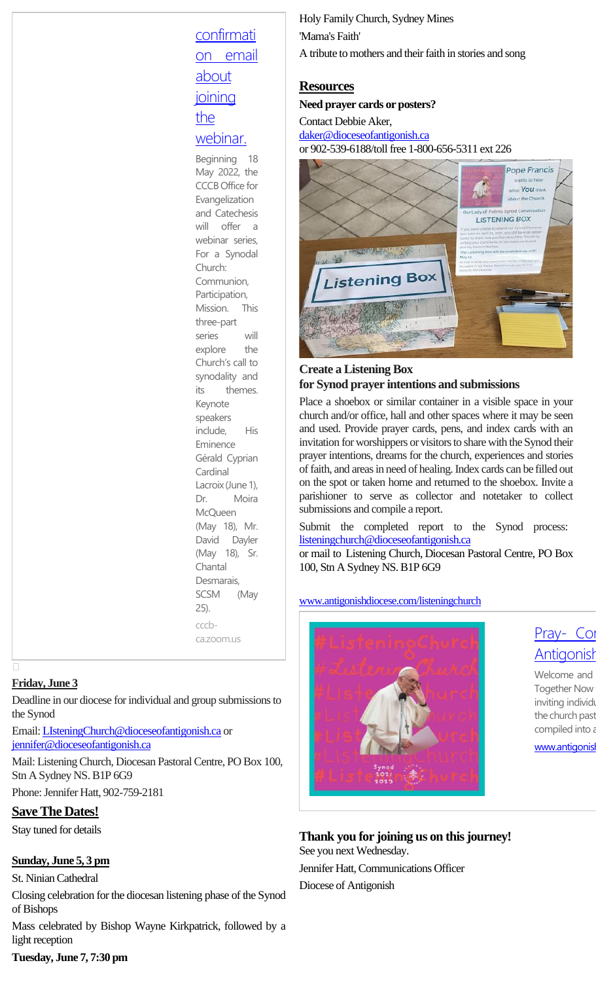## **[confirmati](https://cccb-ca.zoom.us/webinar/register/WN_xYg1RDBCRueTvMl7Ga916Q)** [on email](https://cccb-ca.zoom.us/webinar/register/WN_xYg1RDBCRueTvMl7Ga916Q)  [about](https://cccb-ca.zoom.us/webinar/register/WN_xYg1RDBCRueTvMl7Ga916Q)  [joining](https://cccb-ca.zoom.us/webinar/register/WN_xYg1RDBCRueTvMl7Ga916Q)  [the](https://cccb-ca.zoom.us/webinar/register/WN_xYg1RDBCRueTvMl7Ga916Q)  [webinar.](https://cccb-ca.zoom.us/webinar/register/WN_xYg1RDBCRueTvMl7Ga916Q)

Beginning 18 May 2022, the CCCB Office for Evangelization and Catechesis will offer a webinar series, For a Synodal Church: Communion, Participation, Mission. This three-part series will explore the Church's call to synodality and its themes. Keynote speakers include, His Eminence Gérald Cyprian **Cardinal** Lacroix (June 1), Dr. Moira **McQueen** (May 18), Mr. David Dayler (May 18), Sr. Chantal Desmarais, SCSM (May 25). cccbca.zoom.us

#### **Friday, June 3**

Deadline in our diocese for individual and group submissions to the Synod

Email[: LIsteningChurch@dioceseofantigonish.ca](mailto:LIsteningChurch@dioceseofantigonish.ca) or [jennifer@dioceseofantigonish.ca](mailto:jennifer@dioceseofantigonish.ca)

Mail: Listening Church, Diocesan Pastoral Centre, PO Box 100, Stn A Sydney NS. B1P 6G9

Phone: Jennifer Hatt, 902-759-2181

## **Save The Dates!**

Stay tuned for details

## **Sunday, June 5, 3 pm**

St. Ninian Cathedral

Closing celebration for the diocesan listening phase of the Synod of Bishops

Mass celebrated by Bishop Wayne Kirkpatrick, followed by a light reception

## Holy Family Church, Sydney Mines 'Mama's Faith' A tribute to mothers and their faith in stories and song

#### **Resources**

**Need prayer cards or posters?**

#### Contact Debbie Aker, [daker@dioceseofantigonish.ca](mailto:daker@dioceseofantigonish.ca) or 902-539-6188/toll free 1-800-656-5311 ext 226



## **Create a Listening Box for Synod prayer intentions and submissions**

Place a shoebox or similar container in a visible space in your church and/or office, hall and other spaces where it may be seen and used. Provide prayer cards, pens, and index cards with an invitation for worshippers or visitors to share with the Synod their prayer intentions, dreams for the church, experiences and stories of faith, and areas in need of healing. Index cards can be filled out on the spot or taken home and returned to the shoebox. Invite a parishioner to serve as collector and notetaker to collect submissions and compile a report.

Submit the completed report to the Synod process: [listeningchurch@dioceseofantigonish.ca](mailto:listeningchurch@dioceseofantigonish.ca)

or mail to Listening Church, Diocesan Pastoral Centre, PO Box 100, Stn A Sydney NS. B1P 6G9

[www.antigonishdiocese.com/listeningchurch](http://www.antigonishdiocese.com/listeningchurch)



## Pray- Con [Antigonish](http://www.antigonishdiocese.com/listeningchurch)

Welcome and Together Now inviting individe the church past compiled into a

www.antigonish

## **Thank you for joining us on this journey!**

See you next Wednesday. Jennifer Hatt, Communications Officer Diocese of Antigonish

## **Tuesday, June 7, 7:30 pm**